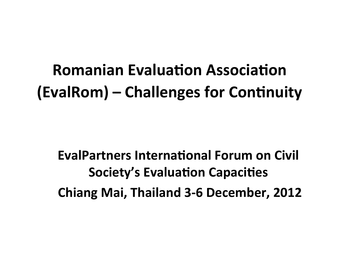**Romanian Evaluation Association (EvalRom) – Challenges for Continuity** 

**EvalPartners International Forum on Civil Society's Evaluation Capacities Chiang Mai, Thailand 3-6 December, 2012**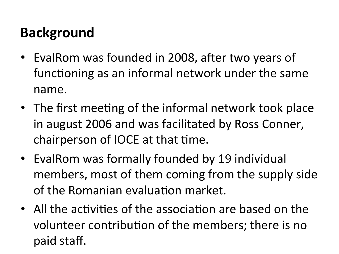# **Background**

- EvalRom was founded in 2008, after two years of functioning as an informal network under the same name.
- The first meeting of the informal network took place in august 2006 and was facilitated by Ross Conner, chairperson of IOCE at that time.
- EvalRom was formally founded by 19 individual members, most of them coming from the supply side of the Romanian evaluation market.
- All the activities of the association are based on the volunteer contribution of the members; there is no paid staff.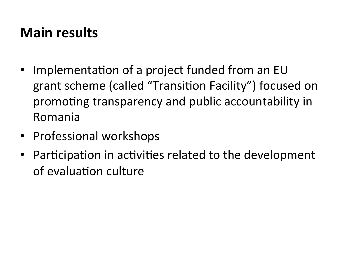### **Main results**

- Implementation of a project funded from an EU grant scheme (called "Transition Facility") focused on promoting transparency and public accountability in Romania
- Professional workshops
- Participation in activities related to the development of evaluation culture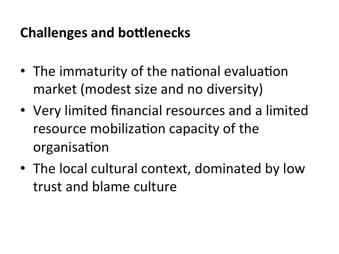### **Challenges and bottlenecks**

- The immaturity of the national evaluation market (modest size and no diversity)
- Very limited financial resources and a limited resource mobilization capacity of the organisation
- The local cultural context, dominated by low trust and blame culture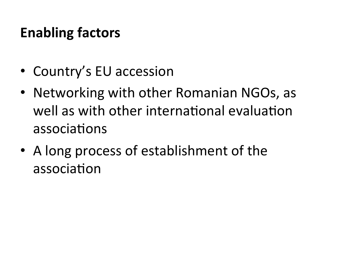## **Enabling factors**

- Country's EU accession
- Networking with other Romanian NGOs, as well as with other international evaluation associations
- A long process of establishment of the association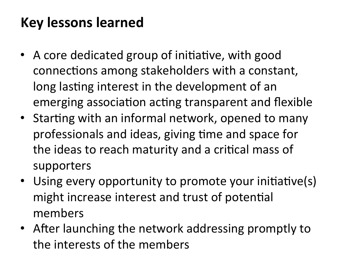# **Key lessons learned**

- A core dedicated group of initiative, with good connections among stakeholders with a constant, long lasting interest in the development of an emerging association acting transparent and flexible
- Starting with an informal network, opened to many professionals and ideas, giving time and space for the ideas to reach maturity and a critical mass of supporters
- Using every opportunity to promote your initiative(s) might increase interest and trust of potential members
- After launching the network addressing promptly to the interests of the members